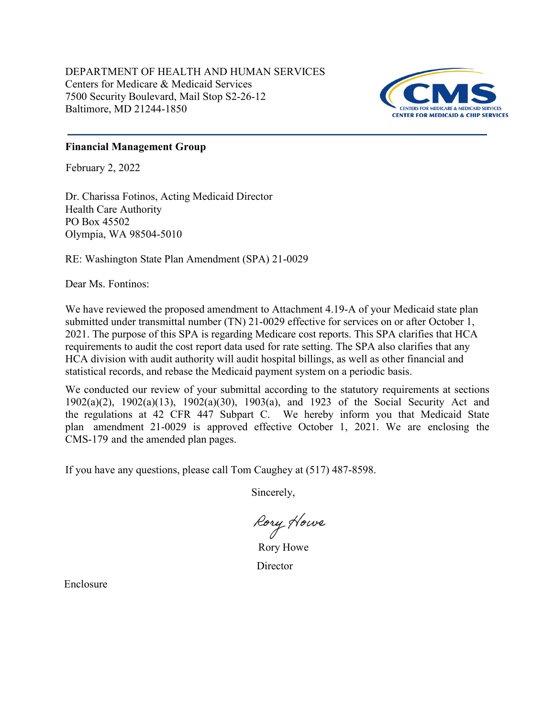DEPARTMENT OF HEALTH AND HUMAN SERVICES Centers for Medicare & Medicaid Services 7500 Security Boulevard, Mail Stop S2-26-12 Baltimore, MD 21244-1850



## **Financial Management Group**

February 2, 2022

Dr. Charissa Fotinos, Acting Medicaid Director Health Care Authority PO Box 45502 Olympia, WA 98504-5010

RE: Washington State Plan Amendment (SPA) 21-0029

Dear Ms. Fontinos:

We have reviewed the proposed amendment to Attachment 4.19-A of your Medicaid state plan submitted under transmittal number (TN) 21-0029 effective for services on or after October 1, 2021. The purpose of this SPA is regarding Medicare cost reports. This SPA clarifies that HCA requirements to audit the cost report data used for rate setting. The SPA also clarifies that any HCA division with audit authority will audit hospital billings, as well as other financial and statistical records, and rebase the Medicaid payment system on a periodic basis.

We conducted our review of your submittal according to the statutory requirements at sections 1902(a)(2), 1902(a)(13), 1902(a)(30), 1903(a), and 1923 of the Social Security Act and the regulations at 42 CFR 447 Subpart C. We hereby inform you that Medicaid State plan amendment 21-0029 is approved effective October 1, 2021. We are enclosing the CMS-179 and the amended plan pages.

If you have any questions, please call Tom Caughey at (517) 487-8598.

Sincerely,

Rory Howe

Rory Howe **Director** 

Enclosure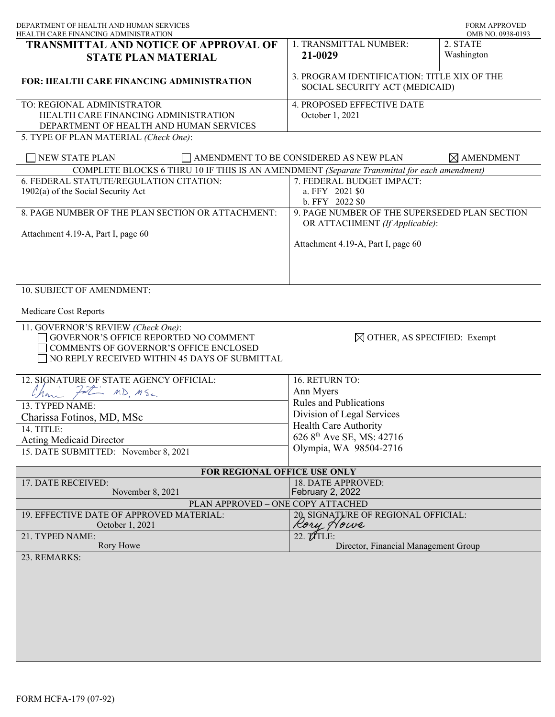| DEPARTMENT OF HEALTH AND HUMAN SERVICES<br>HEALTH CARE FINANCING ADMINISTRATION                                                                                        |                                                                                 | FORM APPROVED<br>OMB NO. 0938-0193 |
|------------------------------------------------------------------------------------------------------------------------------------------------------------------------|---------------------------------------------------------------------------------|------------------------------------|
| <b>TRANSMITTAL AND NOTICE OF APPROVAL OF</b><br><b>STATE PLAN MATERIAL</b>                                                                                             | 1. TRANSMITTAL NUMBER:<br>21-0029                                               | 2. STATE<br>Washington             |
| <b>FOR: HEALTH CARE FINANCING ADMINISTRATION</b>                                                                                                                       | 3. PROGRAM IDENTIFICATION: TITLE XIX OF THE<br>SOCIAL SECURITY ACT (MEDICAID)   |                                    |
| TO: REGIONAL ADMINISTRATOR<br>HEALTH CARE FINANCING ADMINISTRATION<br>DEPARTMENT OF HEALTH AND HUMAN SERVICES<br>5. TYPE OF PLAN MATERIAL (Check One):                 | <b>4. PROPOSED EFFECTIVE DATE</b><br>October 1, 2021                            |                                    |
| <b>NEW STATE PLAN</b>                                                                                                                                                  | AMENDMENT TO BE CONSIDERED AS NEW PLAN                                          | $\boxtimes$ AMENDMENT              |
| COMPLETE BLOCKS 6 THRU 10 IF THIS IS AN AMENDMENT (Separate Transmittal for each amendment)                                                                            |                                                                                 |                                    |
| 6. FEDERAL STATUTE/REGULATION CITATION:<br>1902(a) of the Social Security Act                                                                                          | 7. FEDERAL BUDGET IMPACT:<br>a. FFY 2021 \$0<br>b. FFY 2022 \$0                 |                                    |
| 8. PAGE NUMBER OF THE PLAN SECTION OR ATTACHMENT:                                                                                                                      | 9. PAGE NUMBER OF THE SUPERSEDED PLAN SECTION<br>OR ATTACHMENT (If Applicable): |                                    |
| Attachment 4.19-A, Part I, page 60                                                                                                                                     | Attachment 4.19-A, Part I, page 60                                              |                                    |
| 10. SUBJECT OF AMENDMENT:<br>Medicare Cost Reports                                                                                                                     |                                                                                 |                                    |
| 11. GOVERNOR'S REVIEW (Check One):<br>GOVERNOR'S OFFICE REPORTED NO COMMENT<br>COMMENTS OF GOVERNOR'S OFFICE ENCLOSED<br>NO REPLY RECEIVED WITHIN 45 DAYS OF SUBMITTAL | $\boxtimes$ OTHER, AS SPECIFIED: Exempt                                         |                                    |
| 12. SIGNATURE OF STATE AGENCY OFFICIAL:                                                                                                                                | 16. RETURN TO:                                                                  |                                    |
| MD MSC<br>Chan                                                                                                                                                         | Ann Myers                                                                       |                                    |
| 13. TYPED NAME:                                                                                                                                                        | Rules and Publications<br>Division of Legal Services                            |                                    |
| Charissa Fotinos, MD, MSc                                                                                                                                              | Health Care Authority                                                           |                                    |
| 14. TITLE:<br><b>Acting Medicaid Director</b>                                                                                                                          | 626 8 <sup>th</sup> Ave SE, MS: 42716                                           |                                    |
| 15. DATE SUBMITTED: November 8, 2021                                                                                                                                   | Olympia, WA 98504-2716                                                          |                                    |
| FOR REGIONAL OFFICE USE ONLY                                                                                                                                           |                                                                                 |                                    |
| 17. DATE RECEIVED:<br>November 8, 2021                                                                                                                                 | <b>18. DATE APPROVED:</b><br><b>February 2, 2022</b>                            |                                    |
| PLAN APPROVED - ONE COPY ATTACHED                                                                                                                                      |                                                                                 |                                    |
| 19. EFFECTIVE DATE OF APPROVED MATERIAL:<br>October 1, 2021                                                                                                            | 20, SIGNATURE OF REGIONAL OFFICIAL:<br>Kory Nowe                                |                                    |
| 21. TYPED NAME:<br>Rory Howe                                                                                                                                           | 22. <b>MTLE:</b><br>Director, Financial Management Group                        |                                    |
| 23. REMARKS:                                                                                                                                                           |                                                                                 |                                    |